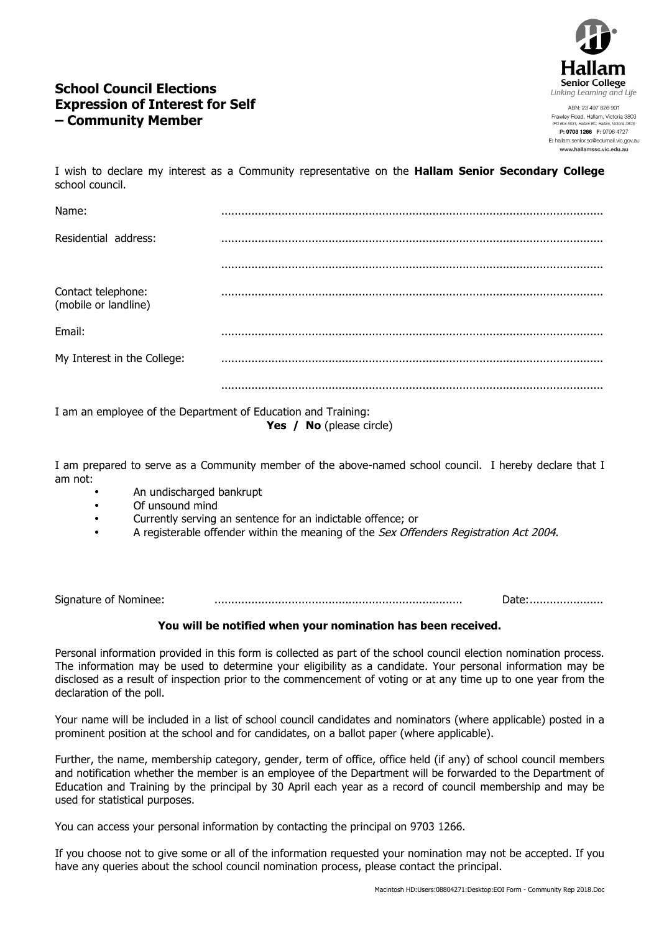

# **School Council Elections Expression of Interest for Self – Community Member**

ABN: 23 497 826 901 Frawley Road, Hallam, Victoria 3803 P: 9703 1266 F: 9796 4727 E: hallam.senior.sc@edumail.vic.gov.au www.hallamssc.vic.edu.au

I wish to declare my interest as a Community representative on the **Hallam Senior Secondary College** school council.

| Name:                                      |  |
|--------------------------------------------|--|
| Residential address:                       |  |
|                                            |  |
| Contact telephone:<br>(mobile or landline) |  |
| Email:                                     |  |
| My Interest in the College:                |  |
|                                            |  |

I am an employee of the Department of Education and Training: **Yes / No** (please circle)

I am prepared to serve as a Community member of the above-named school council. I hereby declare that I am not:

- An undischarged bankrupt
- Of unsound mind
- Currently serving an sentence for an indictable offence; or
- A registerable offender within the meaning of the Sex Offenders Registration Act 2004.

Signature of Nominee: .......................................................................... Date:......................

### **You will be notified when your nomination has been received.**

Personal information provided in this form is collected as part of the school council election nomination process. The information may be used to determine your eligibility as a candidate. Your personal information may be disclosed as a result of inspection prior to the commencement of voting or at any time up to one year from the declaration of the poll.

Your name will be included in a list of school council candidates and nominators (where applicable) posted in a prominent position at the school and for candidates, on a ballot paper (where applicable).

Further, the name, membership category, gender, term of office, office held (if any) of school council members and notification whether the member is an employee of the Department will be forwarded to the Department of Education and Training by the principal by 30 April each year as a record of council membership and may be used for statistical purposes.

You can access your personal information by contacting the principal on 9703 1266.

If you choose not to give some or all of the information requested your nomination may not be accepted. If you have any queries about the school council nomination process, please contact the principal.